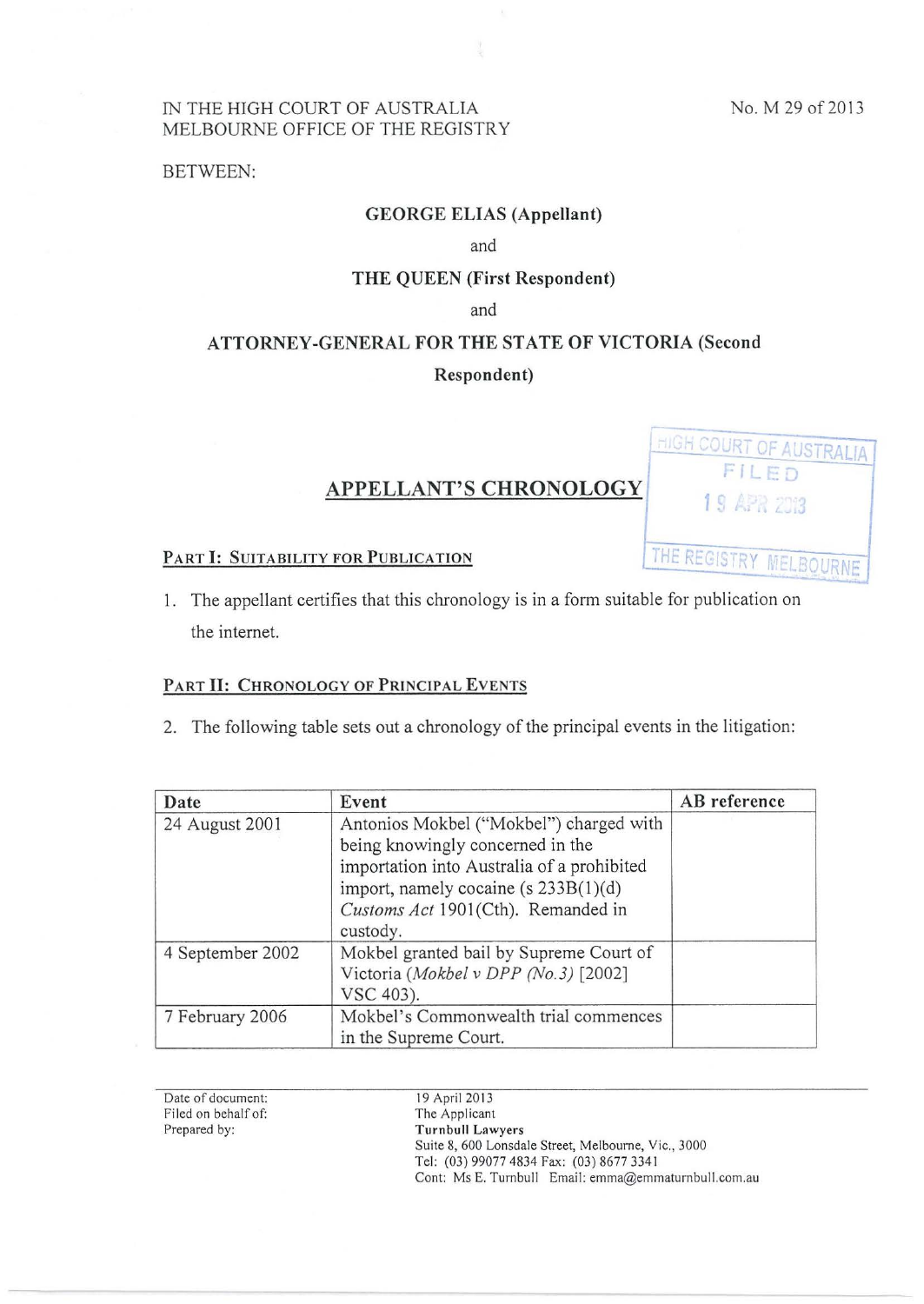**HIGH COURT OF AUSTRALIA** 

THE REGISTRY MELBOURNE

## IN THE HIGH COURT OF AUSTRALIA MELBOURNE OFFICE OF THE REGISTRY

BETWEEN:

## GEORGE ELIAS (Appellant)

and

## THE QUEEN (First Respondent)

and

# ATTORNEY-GENERAL FOR THE STATE OF VICTORIA (Second Respondent)

# APPELLANT'S CHRONOLOGY 19 APR 2013

### PART I: SUITABILITY FOR PUBLICATION

1. The appellant certifies that this chronology is in a form suitable for publication on the internet.

## PART II: CHRONOLOGY OF PRINCIPAL EVENTS

2. The following table sets out a chronology of the principal events in the litigation:

| Date             | Event                                                                                                                                                                                                                   | AB reference |
|------------------|-------------------------------------------------------------------------------------------------------------------------------------------------------------------------------------------------------------------------|--------------|
| 24 August 2001   | Antonios Mokbel ("Mokbel") charged with<br>being knowingly concerned in the<br>importation into Australia of a prohibited<br>import, namely cocaine (s $233B(1)(d)$ )<br>Customs Act 1901(Cth). Remanded in<br>custody. |              |
| 4 September 2002 | Mokbel granted bail by Supreme Court of<br>Victoria (Mokbel v DPP (No.3) [2002]<br>VSC 403).                                                                                                                            |              |
| 7 February 2006  | Mokbel's Commonwealth trial commences<br>in the Supreme Court.                                                                                                                                                          |              |

Date of document: Filed on behalf of: Prepared by:

19 April2013 The Applicant Turnbull Lawyers Suite 8, 600 Lonsdale Street, Melbourne, Vic., 3000 Tel: (03) 99077 4834 Fax: (03) 8677 334 I Cont: Ms E. Turnbull Email: emma@emmaturnbull.com.au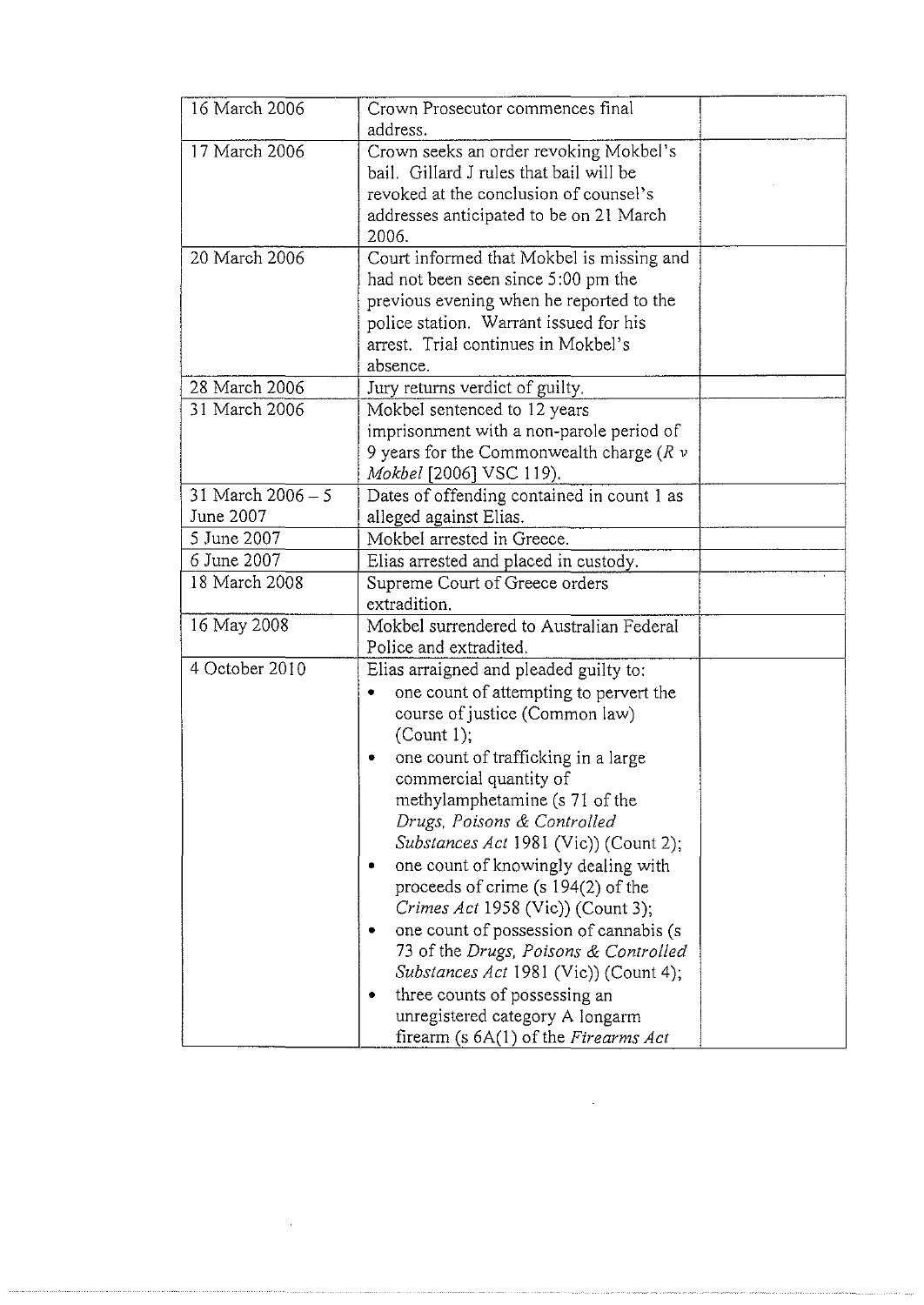| Crown Prosecutor commences final<br>address.                                                                                                                                                                                                                                                                                                                                                                                                                                                                                                                                                                                     |                                                                                                                                         |
|----------------------------------------------------------------------------------------------------------------------------------------------------------------------------------------------------------------------------------------------------------------------------------------------------------------------------------------------------------------------------------------------------------------------------------------------------------------------------------------------------------------------------------------------------------------------------------------------------------------------------------|-----------------------------------------------------------------------------------------------------------------------------------------|
| Crown seeks an order revoking Mokbel's<br>bail. Gillard J rules that bail will be<br>revoked at the conclusion of counsel's<br>addresses anticipated to be on 21 March<br>2006.                                                                                                                                                                                                                                                                                                                                                                                                                                                  |                                                                                                                                         |
| Court informed that Mokbel is missing and<br>had not been seen since 5:00 pm the<br>previous evening when he reported to the<br>police station. Warrant issued for his<br>arrest. Trial continues in Mokbel's<br>absence.                                                                                                                                                                                                                                                                                                                                                                                                        |                                                                                                                                         |
| Jury returns verdict of guilty.                                                                                                                                                                                                                                                                                                                                                                                                                                                                                                                                                                                                  |                                                                                                                                         |
| Mokbel sentenced to 12 years<br>imprisonment with a non-parole period of<br>9 years for the Commonwealth charge ( $R \nu$<br>Mokbel [2006] VSC 119).                                                                                                                                                                                                                                                                                                                                                                                                                                                                             |                                                                                                                                         |
| Dates of offending contained in count 1 as                                                                                                                                                                                                                                                                                                                                                                                                                                                                                                                                                                                       |                                                                                                                                         |
|                                                                                                                                                                                                                                                                                                                                                                                                                                                                                                                                                                                                                                  |                                                                                                                                         |
|                                                                                                                                                                                                                                                                                                                                                                                                                                                                                                                                                                                                                                  |                                                                                                                                         |
| Supreme Court of Greece orders<br>extradition.                                                                                                                                                                                                                                                                                                                                                                                                                                                                                                                                                                                   |                                                                                                                                         |
| Mokbel surrendered to Australian Federal<br>Police and extradited.                                                                                                                                                                                                                                                                                                                                                                                                                                                                                                                                                               |                                                                                                                                         |
| one count of attempting to pervert the<br>course of justice (Common law)<br>(Count 1);<br>one count of trafficking in a large<br>۰<br>commercial quantity of<br>methylamphetamine (s 71 of the<br>Drugs, Poisons & Controlled<br>Substances Act 1981 (Vic)) (Count 2);<br>one count of knowingly dealing with<br>proceeds of crime (s 194(2) of the<br>Crimes Act 1958 (Vic)) (Count 3);<br>one count of possession of cannabis (s<br>73 of the Drugs, Poisons & Controlled<br>Substances Act 1981 (Vic)) (Count 4);<br>three counts of possessing an<br>unregistered category A longarm<br>firearm (s 6A(1) of the Firearms Act |                                                                                                                                         |
|                                                                                                                                                                                                                                                                                                                                                                                                                                                                                                                                                                                                                                  | alleged against Elias.<br>Mokbel arrested in Greece.<br>Elias arrested and placed in custody.<br>Elias arraigned and pleaded guilty to: |

 $\mathcal{L}^{\text{max}}_{\text{max}}$ 

 $\sim 10^{-10}$